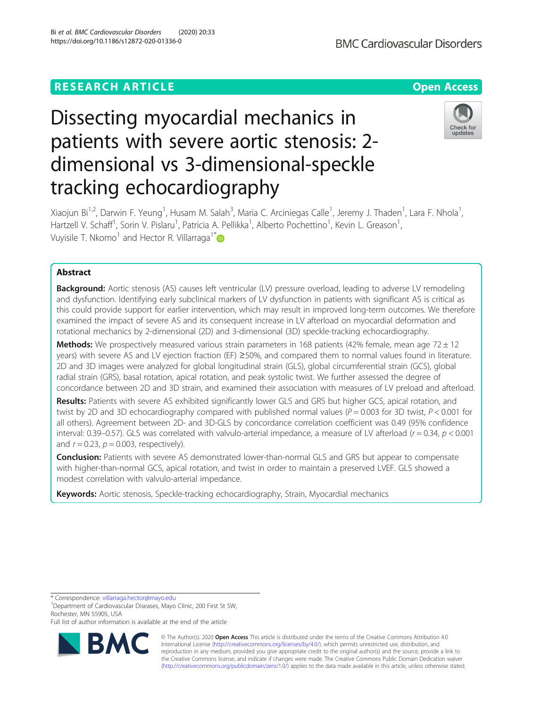# **RESEARCH ARTICLE Example 2014 12:30 The Contract of Contract ACCESS**

# Dissecting myocardial mechanics in patients with severe aortic stenosis: 2 dimensional vs 3-dimensional-speckle tracking echocardiography

Xiaojun Bi<sup>1,2</sup>, Darwin F. Yeung<sup>1</sup>, Husam M. Salah<sup>3</sup>, Maria C. Arciniegas Calle<sup>1</sup>, Jeremy J. Thaden<sup>1</sup>, Lara F. Nhola<sup>1</sup> , Hartzell V. Schaff<sup>1</sup>, Sorin V. Pislaru<sup>1</sup>, Patricia A. Pellikka<sup>1</sup>, Alberto Pochettino<sup>1</sup>, Kevin L. Greason<sup>1</sup> , Vuyisile T. Nkomo<sup>1</sup> and Hector R. Villarraga<sup>1\*</sup>

## Abstract

Background: Aortic stenosis (AS) causes left ventricular (LV) pressure overload, leading to adverse LV remodeling and dysfunction. Identifying early subclinical markers of LV dysfunction in patients with significant AS is critical as this could provide support for earlier intervention, which may result in improved long-term outcomes. We therefore examined the impact of severe AS and its consequent increase in LV afterload on myocardial deformation and rotational mechanics by 2-dimensional (2D) and 3-dimensional (3D) speckle-tracking echocardiography.

**Methods:** We prospectively measured various strain parameters in 168 patients (42% female, mean age 72  $\pm$  12 years) with severe AS and LV ejection fraction (EF) ≥50%, and compared them to normal values found in literature. 2D and 3D images were analyzed for global longitudinal strain (GLS), global circumferential strain (GCS), global radial strain (GRS), basal rotation, apical rotation, and peak systolic twist. We further assessed the degree of concordance between 2D and 3D strain, and examined their association with measures of LV preload and afterload.

Results: Patients with severe AS exhibited significantly lower GLS and GRS but higher GCS, apical rotation, and twist by 2D and 3D echocardiography compared with published normal values ( $P = 0.003$  for 3D twist,  $P < 0.001$  for all others). Agreement between 2D- and 3D-GLS by concordance correlation coefficient was 0.49 (95% confidence interval: 0.39–0.57). GLS was correlated with valvulo-arterial impedance, a measure of LV afterload ( $r = 0.34$ ,  $p < 0.001$ ) and  $r = 0.23$ ,  $p = 0.003$ , respectively).

**Conclusion:** Patients with severe AS demonstrated lower-than-normal GLS and GRS but appear to compensate with higher-than-normal GCS, apical rotation, and twist in order to maintain a preserved LVEF. GLS showed a modest correlation with valvulo-arterial impedance.

Keywords: Aortic stenosis, Speckle-tracking echocardiography, Strain, Myocardial mechanics

\* Correspondence: [villarraga.hector@mayo.edu](mailto:villarraga.hector@mayo.edu) <sup>1</sup>

<sup>1</sup>Department of Cardiovascular Diseases, Mayo Clinic, 200 First St SW, Rochester, MN 55905, USA

Full list of author information is available at the end of the article

© The Author(s). 2020 **Open Access** This article is distributed under the terms of the Creative Commons Attribution 4.0 International License [\(http://creativecommons.org/licenses/by/4.0/](http://creativecommons.org/licenses/by/4.0/)), which permits unrestricted use, distribution, and reproduction in any medium, provided you give appropriate credit to the original author(s) and the source, provide a link to the Creative Commons license, and indicate if changes were made. The Creative Commons Public Domain Dedication waiver [\(http://creativecommons.org/publicdomain/zero/1.0/](http://creativecommons.org/publicdomain/zero/1.0/)) applies to the data made available in this article, unless otherwise stated.



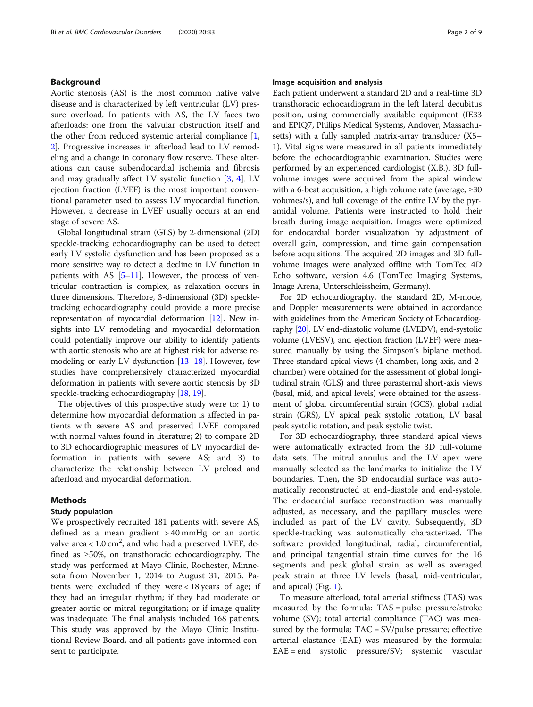#### Background

Aortic stenosis (AS) is the most common native valve disease and is characterized by left ventricular (LV) pressure overload. In patients with AS, the LV faces two afterloads: one from the valvular obstruction itself and the other from reduced systemic arterial compliance  $[1,$  $[1,$ [2\]](#page-7-0). Progressive increases in afterload lead to LV remodeling and a change in coronary flow reserve. These alterations can cause subendocardial ischemia and fibrosis and may gradually affect LV systolic function [[3](#page-7-0), [4](#page-7-0)]. LV ejection fraction (LVEF) is the most important conventional parameter used to assess LV myocardial function. However, a decrease in LVEF usually occurs at an end stage of severe AS.

Global longitudinal strain (GLS) by 2-dimensional (2D) speckle-tracking echocardiography can be used to detect early LV systolic dysfunction and has been proposed as a more sensitive way to detect a decline in LV function in patients with AS  $[5-11]$  $[5-11]$  $[5-11]$  $[5-11]$ . However, the process of ventricular contraction is complex, as relaxation occurs in three dimensions. Therefore, 3-dimensional (3D) speckletracking echocardiography could provide a more precise representation of myocardial deformation [[12](#page-7-0)]. New insights into LV remodeling and myocardial deformation could potentially improve our ability to identify patients with aortic stenosis who are at highest risk for adverse remodeling or early LV dysfunction [\[13](#page-7-0)–[18](#page-7-0)]. However, few studies have comprehensively characterized myocardial deformation in patients with severe aortic stenosis by 3D speckle-tracking echocardiography [\[18,](#page-7-0) [19\]](#page-7-0).

The objectives of this prospective study were to: 1) to determine how myocardial deformation is affected in patients with severe AS and preserved LVEF compared with normal values found in literature; 2) to compare 2D to 3D echocardiographic measures of LV myocardial deformation in patients with severe AS; and 3) to characterize the relationship between LV preload and afterload and myocardial deformation.

#### Methods

#### Study population

We prospectively recruited 181 patients with severe AS, defined as a mean gradient > 40 mmHg or an aortic valve area <  $1.0 \text{ cm}^2$ , and who had a preserved LVEF, defined as ≥50%, on transthoracic echocardiography. The study was performed at Mayo Clinic, Rochester, Minnesota from November 1, 2014 to August 31, 2015. Patients were excluded if they were < 18 years of age; if they had an irregular rhythm; if they had moderate or greater aortic or mitral regurgitation; or if image quality was inadequate. The final analysis included 168 patients. This study was approved by the Mayo Clinic Institutional Review Board, and all patients gave informed consent to participate.

#### Image acquisition and analysis

Each patient underwent a standard 2D and a real-time 3D transthoracic echocardiogram in the left lateral decubitus position, using commercially available equipment (IE33 and EPIQ7, Philips Medical Systems, Andover, Massachusetts) with a fully sampled matrix-array transducer (X5– 1). Vital signs were measured in all patients immediately before the echocardiographic examination. Studies were performed by an experienced cardiologist (X.B.). 3D fullvolume images were acquired from the apical window with a 6-beat acquisition, a high volume rate (average,  $\geq 30$ volumes/s), and full coverage of the entire LV by the pyramidal volume. Patients were instructed to hold their breath during image acquisition. Images were optimized for endocardial border visualization by adjustment of overall gain, compression, and time gain compensation before acquisitions. The acquired 2D images and 3D fullvolume images were analyzed offline with TomTec 4D Echo software, version 4.6 (TomTec Imaging Systems, Image Arena, Unterschleissheim, Germany).

For 2D echocardiography, the standard 2D, M-mode, and Doppler measurements were obtained in accordance with guidelines from the American Society of Echocardiography [[20](#page-7-0)]. LV end-diastolic volume (LVEDV), end-systolic volume (LVESV), and ejection fraction (LVEF) were measured manually by using the Simpson's biplane method. Three standard apical views (4-chamber, long-axis, and 2 chamber) were obtained for the assessment of global longitudinal strain (GLS) and three parasternal short-axis views (basal, mid, and apical levels) were obtained for the assessment of global circumferential strain (GCS), global radial strain (GRS), LV apical peak systolic rotation, LV basal peak systolic rotation, and peak systolic twist.

For 3D echocardiography, three standard apical views were automatically extracted from the 3D full-volume data sets. The mitral annulus and the LV apex were manually selected as the landmarks to initialize the LV boundaries. Then, the 3D endocardial surface was automatically reconstructed at end-diastole and end-systole. The endocardial surface reconstruction was manually adjusted, as necessary, and the papillary muscles were included as part of the LV cavity. Subsequently, 3D speckle-tracking was automatically characterized. The software provided longitudinal, radial, circumferential, and principal tangential strain time curves for the 16 segments and peak global strain, as well as averaged peak strain at three LV levels (basal, mid-ventricular, and apical) (Fig. [1\)](#page-2-0).

To measure afterload, total arterial stiffness (TAS) was measured by the formula: TAS = pulse pressure/stroke volume (SV); total arterial compliance (TAC) was measured by the formula:  $TAC = SV/pulse pressure$ ; effective arterial elastance (EAE) was measured by the formula: EAE = end systolic pressure/SV; systemic vascular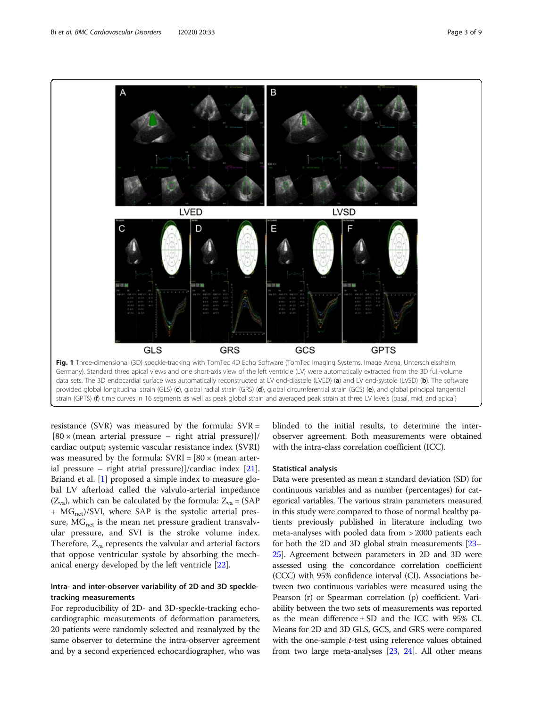resistance (SVR) was measured by the formula:  $SVR =$  $[80 \times (mean \text{ arterial pressure} - \text{right} \text{ atrial pressure})]$ cardiac output; systemic vascular resistance index (SVRI) was measured by the formula:  $SVRI = [80 \times (mean \space arter$ ial pressure – right atrial pressure)]/cardiac index [\[21](#page-8-0)]. Briand et al. [\[1](#page-7-0)] proposed a simple index to measure global LV afterload called the valvulo-arterial impedance  $(Z_{va})$ , which can be calculated by the formula:  $Z_{va} = (SAP)$  $+ MG_{net}$ )/SVI, where SAP is the systolic arterial pressure,  $MG<sub>net</sub>$  is the mean net pressure gradient transvalvular pressure, and SVI is the stroke volume index. Therefore,  $Z_{va}$  represents the valvular and arterial factors that oppose ventricular systole by absorbing the mechanical energy developed by the left ventricle [[22](#page-8-0)].

#### Intra- and inter-observer variability of 2D and 3D speckletracking measurements

For reproducibility of 2D- and 3D-speckle-tracking echocardiographic measurements of deformation parameters, 20 patients were randomly selected and reanalyzed by the same observer to determine the intra-observer agreement and by a second experienced echocardiographer, who was

blinded to the initial results, to determine the interobserver agreement. Both measurements were obtained with the intra-class correlation coefficient (ICC).

#### Statistical analysis

Data were presented as mean ± standard deviation (SD) for continuous variables and as number (percentages) for categorical variables. The various strain parameters measured in this study were compared to those of normal healthy patients previously published in literature including two meta-analyses with pooled data from > 2000 patients each for both the 2D and 3D global strain measurements [\[23](#page-8-0)– [25](#page-8-0)]. Agreement between parameters in 2D and 3D were assessed using the concordance correlation coefficient (CCC) with 95% confidence interval (CI). Associations between two continuous variables were measured using the Pearson (r) or Spearman correlation (ρ) coefficient. Variability between the two sets of measurements was reported as the mean difference  $\pm$  SD and the ICC with 95% CI. Means for 2D and 3D GLS, GCS, and GRS were compared with the one-sample *t*-test using reference values obtained from two large meta-analyses [\[23](#page-8-0), [24\]](#page-8-0). All other means

<span id="page-2-0"></span>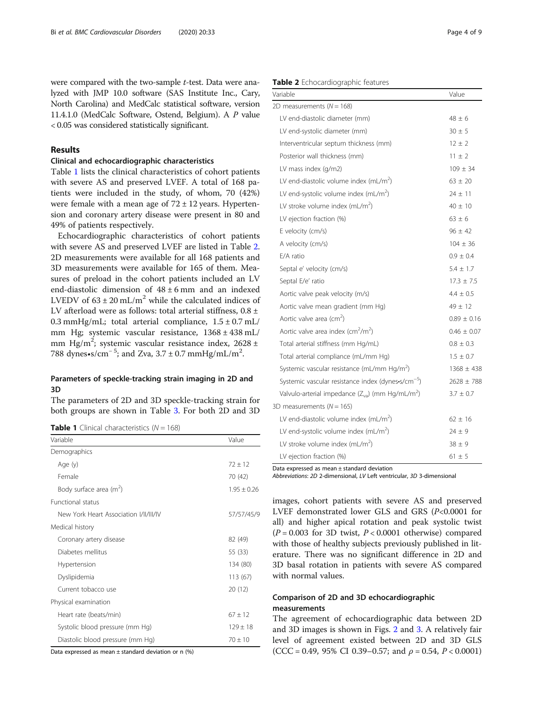were compared with the two-sample t-test. Data were analyzed with JMP 10.0 software (SAS Institute Inc., Cary, North Carolina) and MedCalc statistical software, version 11.4.1.0 (MedCalc Software, Ostend, Belgium). A P value < 0.05 was considered statistically significant.

#### Results

#### Clinical and echocardiographic characteristics

Table 1 lists the clinical characteristics of cohort patients with severe AS and preserved LVEF. A total of 168 patients were included in the study, of whom, 70 (42%) were female with a mean age of  $72 \pm 12$  years. Hypertension and coronary artery disease were present in 80 and 49% of patients respectively.

Echocardiographic characteristics of cohort patients with severe AS and preserved LVEF are listed in Table 2. 2D measurements were available for all 168 patients and 3D measurements were available for 165 of them. Measures of preload in the cohort patients included an LV end-diastolic dimension of  $48 \pm 6$  mm and an indexed LVEDV of  $63 \pm 20$  mL/m<sup>2</sup> while the calculated indices of LV afterload were as follows: total arterial stiffness,  $0.8 \pm$ 0.3 mmHg/mL; total arterial compliance,  $1.5 \pm 0.7$  mL/ mm Hg; systemic vascular resistance, 1368 ± 438 mL/ mm Hg/m<sup>2</sup>; systemic vascular resistance index, 2628 ± 788 dynes•s/cm<sup>-5</sup>; and Zva,  $3.7 \pm 0.7$  mmHg/mL/m<sup>2</sup>.

#### Parameters of speckle-tracking strain imaging in 2D and 3D

The parameters of 2D and 3D speckle-tracking strain for both groups are shown in Table [3](#page-4-0). For both 2D and 3D

**Table 1** Clinical characteristics  $(N = 168)$ 

| Variable                               | Value         |
|----------------------------------------|---------------|
| Demographics                           |               |
| Age (y)                                | $72 + 12$     |
| Female                                 | 70 (42)       |
| Body surface area $(m^2)$              | $1.95 + 0.26$ |
| <b>Functional status</b>               |               |
| New York Heart Association I/II/III/IV | 57/57/45/9    |
| Medical history                        |               |
| Coronary artery disease                | 82 (49)       |
| Diabetes mellitus                      | 55 (33)       |
| Hypertension                           | 134 (80)      |
| Dyslipidemia                           | 113 (67)      |
| Current tobacco use                    | 20 (12)       |
| Physical examination                   |               |
| Heart rate (beats/min)                 | $67 + 12$     |
| Systolic blood pressure (mm Hg)        | $129 \pm 18$  |
| Diastolic blood pressure (mm Hg)       | $70 + 10$     |

Data expressed as mean  $\pm$  standard deviation or n (%)

#### Table 2 Echocardiographic features

| Variable                                                         | Value           |
|------------------------------------------------------------------|-----------------|
| 2D measurements ( $N = 168$ )                                    |                 |
| LV end-diastolic diameter (mm)                                   | $48 + 6$        |
| LV end-systolic diameter (mm)                                    | $30 \pm 5$      |
| Interventricular septum thickness (mm)                           | $12 \pm 2$      |
| Posterior wall thickness (mm)                                    | $11 + 2$        |
| LV mass index (g/m2)                                             | $109 \pm 34$    |
| LV end-diastolic volume index $(mL/m2)$                          | $63 + 20$       |
| LV end-systolic volume index $(mL/m2)$                           | $24 \pm 11$     |
| LV stroke volume index $(mL/m^2)$                                | $40 \pm 10$     |
| LV ejection fraction (%)                                         | $63 + 6$        |
| E velocity (cm/s)                                                | $96 + 42$       |
| A velocity (cm/s)                                                | $104 \pm 36$    |
| F/A ratio                                                        | $0.9 + 0.4$     |
| Septal e' velocity (cm/s)                                        | $5.4 + 1.7$     |
| Septal E/e' ratio                                                | $17.3 \pm 7.5$  |
| Aortic valve peak velocity (m/s)                                 | $4.4 \pm 0.5$   |
| Aortic valve mean gradient (mm Hg)                               | $49 + 12$       |
| Aortic valve area (cm <sup>2</sup> )                             | $0.89 \pm 0.16$ |
| Aortic valve area index (cm <sup>2</sup> /m <sup>2</sup> )       | $0.46 \pm 0.07$ |
| Total arterial stiffness (mm Hg/mL)                              | $0.8 \pm 0.3$   |
| Total arterial compliance (mL/mm Hg)                             | $1.5 \pm 0.7$   |
| Systemic vascular resistance (mL/mm Hg/m <sup>2</sup> )          | $1368 \pm 438$  |
| Systemic vascular resistance index (dynes-s/cm <sup>-5</sup> )   | $2628 + 788$    |
| Valvulo-arterial impedance $(Z_{va})$ (mm Hg/mL/m <sup>2</sup> ) | $3.7 \pm 0.7$   |
| 3D measurements ( $N = 165$ )                                    |                 |
| LV end-diastolic volume index $(mL/m2)$                          | $62 \pm 16$     |
| LV end-systolic volume index $(mL/m^2)$                          | $24 \pm 9$      |
| LV stroke volume index $(mL/m^2)$                                | $38 + 9$        |
| LV ejection fraction (%)                                         | $61 + 5$        |

Data expressed as mean ± standard deviation

Abbreviations: 2D 2-dimensional, LV Left ventricular, 3D 3-dimensional

images, cohort patients with severe AS and preserved LVEF demonstrated lower GLS and GRS (P<0.0001 for all) and higher apical rotation and peak systolic twist  $(P = 0.003$  for 3D twist,  $P < 0.0001$  otherwise) compared with those of healthy subjects previously published in literature. There was no significant difference in 2D and 3D basal rotation in patients with severe AS compared with normal values.

### Comparison of 2D and 3D echocardiographic measurements

The agreement of echocardiographic data between 2D and 3D images is shown in Figs. [2](#page-4-0) and [3](#page-5-0). A relatively fair level of agreement existed between 2D and 3D GLS (CCC = 0.49, 95% CI 0.39–0.57; and  $\rho$  = 0.54, P < 0.0001)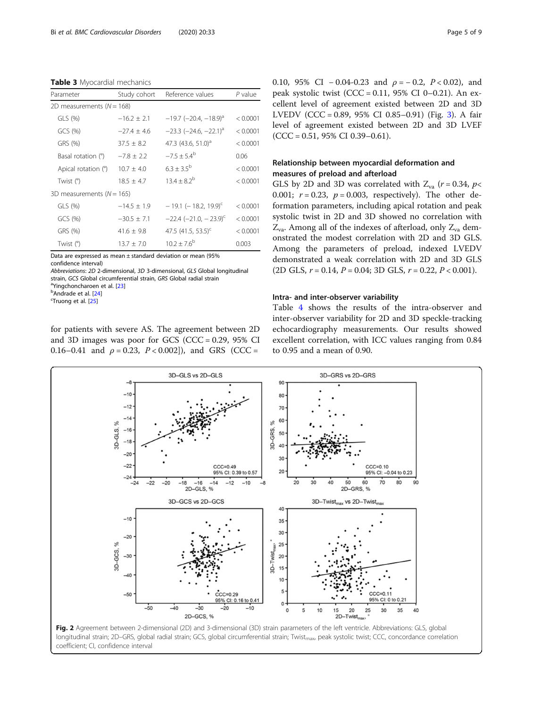<span id="page-4-0"></span>Table 3 Myocardial mechanics

| Parameter                     | Study cohort    | Reference values                           | $P$ value |
|-------------------------------|-----------------|--------------------------------------------|-----------|
| 2D measurements ( $N = 168$ ) |                 |                                            |           |
| GLS (%)                       | $-16.2 \pm 2.1$ | $-19.7$ (-20.4, -18.9) <sup>a</sup>        | < 0.0001  |
| GCS(%)                        | $-27.4 + 4.6$   | $-23.3$ ( $-24.6$ , $-22.1$ ) <sup>a</sup> | < 0.0001  |
| GRS (%)                       | $37.5 \pm 8.2$  | 47.3 $(43.6, 51.0)^d$                      | < 0.0001  |
| Basal rotation (°)            | $-7.8 \pm 2.2$  | $-7.5 + 5.4^b$                             | 0.06      |
| Apical rotation (°)           | $10.7 \pm 4.0$  | $6.3 + 3.5^{b}$                            | < 0.0001  |
| Twist (°)                     | $18.5 \pm 4.7$  | $13.4 + 8.2^{b}$                           | < 0.0001  |
| 3D measurements ( $N = 165$ ) |                 |                                            |           |
| $GLS$ $(%)$                   | $-14.5 + 1.9$   | $-19.1$ (-18.2, 19.9) <sup>c</sup>         | < 0.0001  |
| GCS(%)                        | $-30.5 \pm 7.1$ | $-22.4$ (-21.0, -23.9) <sup>c</sup>        | < 0.0001  |
| GRS (%)                       | $41.6 \pm 9.8$  | 47.5 (41.5, 53.5) <sup>c</sup>             | < 0.0001  |
| Twist (°)                     | $13.7 \pm 7.0$  | $10.2 + 7.6^{\circ}$                       | 0.003     |

Data are expressed as mean ± standard deviation or mean (95% confidence interval)

Abbreviations: 2D 2-dimensional, 3D 3-dimensional, GLS Global longitudinal strain, GCS Global circumferential strain, GRS Global radial strain <sup>a</sup>Yingchoncharoen et al. [\[23](#page-8-0)]

 $<sup>b</sup>$ Andrade et al.  $[24]$  $[24]$ </sup>

Truong et al. [\[25\]](#page-8-0)

for patients with severe AS. The agreement between 2D and 3D images was poor for GCS ( $CCC = 0.29$ ,  $95\%$  CI 0.16–0.41 and  $\rho = 0.23$ ,  $P < 0.002$ ]), and GRS (CCC =

0.10, 95% CI – 0.04-0.23 and  $\rho = -0.2$ ,  $P < 0.02$ ), and peak systolic twist (CCC = 0.11, 95% CI 0–0.21). An excellent level of agreement existed between 2D and 3D LVEDV (CCC = 0.89, 95% CI 0.85–0.91) (Fig. [3\)](#page-5-0). A fair level of agreement existed between 2D and 3D LVEF  $(CCC = 0.51, 95\% CI 0.39 - 0.61).$ 

#### Relationship between myocardial deformation and measures of preload and afterload

GLS by 2D and 3D was correlated with  $Z_{va}$  ( $r = 0.34$ ,  $p <$ 0.001;  $r = 0.23$ ,  $p = 0.003$ , respectively). The other deformation parameters, including apical rotation and peak systolic twist in 2D and 3D showed no correlation with  $Z_{\text{va}}$ . Among all of the indexes of afterload, only  $Z_{\text{va}}$  demonstrated the modest correlation with 2D and 3D GLS. Among the parameters of preload, indexed LVEDV demonstrated a weak correlation with 2D and 3D GLS  $(2D$  GLS,  $r = 0.14$ ,  $P = 0.04$ ; 3D GLS,  $r = 0.22$ ,  $P < 0.001$ ).

#### Intra- and inter-observer variability

Table [4](#page-5-0) shows the results of the intra-observer and inter-observer variability for 2D and 3D speckle-tracking echocardiography measurements. Our results showed excellent correlation, with ICC values ranging from 0.84 to 0.95 and a mean of 0.90.



longitudinal strain; 2D–GRS, global radial strain; GCS, global circumferential strain; Twist<sub>max</sub>, peak systolic twist; CCC, concordance correlation coefficient; CI, confidence interval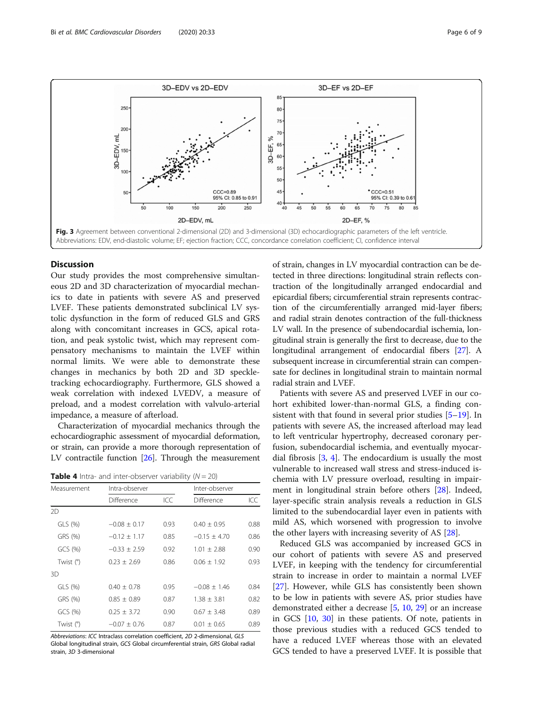<span id="page-5-0"></span>

#### **Discussion**

Our study provides the most comprehensive simultaneous 2D and 3D characterization of myocardial mechanics to date in patients with severe AS and preserved LVEF. These patients demonstrated subclinical LV systolic dysfunction in the form of reduced GLS and GRS along with concomitant increases in GCS, apical rotation, and peak systolic twist, which may represent compensatory mechanisms to maintain the LVEF within normal limits. We were able to demonstrate these changes in mechanics by both 2D and 3D speckletracking echocardiography. Furthermore, GLS showed a weak correlation with indexed LVEDV, a measure of preload, and a modest correlation with valvulo-arterial impedance, a measure of afterload.

Characterization of myocardial mechanics through the echocardiographic assessment of myocardial deformation, or strain, can provide a more thorough representation of LV contractile function [\[26](#page-8-0)]. Through the measurement

**Table 4** Intra- and inter-observer variability  $(N = 20)$ 

| Measurement | Intra-observer   |      |                 | Inter-observer |  |
|-------------|------------------|------|-----------------|----------------|--|
|             | Difference       | ICC  | Difference      | ICC            |  |
| 2D          |                  |      |                 |                |  |
| $GLS$ $(%)$ | $-0.08 + 0.17$   | 0.93 | $0.40 + 0.95$   | 0.88           |  |
| GRS (%)     | $-0.12 \pm 1.17$ | 0.85 | $-0.15 + 4.70$  | 0.86           |  |
| GCS(%)      | $-0.33 + 2.59$   | 0.92 | $1.01 + 2.88$   | 0.90           |  |
| Twist (°)   | $0.23 \pm 2.69$  | 0.86 | $0.06 \pm 1.92$ | 0.93           |  |
| 3D          |                  |      |                 |                |  |
| $GLS$ $(%)$ | $0.40 + 0.78$    | 0.95 | $-0.08 + 1.46$  | 0.84           |  |
| GRS (%)     | $0.85 + 0.89$    | 0.87 | $1.38 + 3.81$   | 0.82           |  |
| GCS(%)      | $0.25 + 3.72$    | 0.90 | $0.67 + 3.48$   | 0.89           |  |
| Twist (°)   | $-0.07 + 0.76$   | 0.87 | $0.01 \pm 0.65$ | 0.89           |  |

Abbreviations: ICC Intraclass correlation coefficient, 2D 2-dimensional, GLS Global longitudinal strain, GCS Global circumferential strain, GRS Global radial strain, 3D 3-dimensional

of strain, changes in LV myocardial contraction can be detected in three directions: longitudinal strain reflects contraction of the longitudinally arranged endocardial and epicardial fibers; circumferential strain represents contraction of the circumferentially arranged mid-layer fibers; and radial strain denotes contraction of the full-thickness LV wall. In the presence of subendocardial ischemia, longitudinal strain is generally the first to decrease, due to the longitudinal arrangement of endocardial fibers [\[27\]](#page-8-0). A subsequent increase in circumferential strain can compensate for declines in longitudinal strain to maintain normal radial strain and LVEF.

Patients with severe AS and preserved LVEF in our cohort exhibited lower-than-normal GLS, a finding consistent with that found in several prior studies [[5](#page-7-0)–[19](#page-7-0)]. In patients with severe AS, the increased afterload may lead to left ventricular hypertrophy, decreased coronary perfusion, subendocardial ischemia, and eventually myocardial fibrosis [\[3,](#page-7-0) [4](#page-7-0)]. The endocardium is usually the most vulnerable to increased wall stress and stress-induced ischemia with LV pressure overload, resulting in impairment in longitudinal strain before others [[28](#page-8-0)]. Indeed, layer-specific strain analysis reveals a reduction in GLS limited to the subendocardial layer even in patients with mild AS, which worsened with progression to involve the other layers with increasing severity of AS [\[28](#page-8-0)].

Reduced GLS was accompanied by increased GCS in our cohort of patients with severe AS and preserved LVEF, in keeping with the tendency for circumferential strain to increase in order to maintain a normal LVEF [[27\]](#page-8-0). However, while GLS has consistently been shown to be low in patients with severe AS, prior studies have demonstrated either a decrease [\[5](#page-7-0), [10](#page-7-0), [29](#page-8-0)] or an increase in GCS [[10,](#page-7-0) [30\]](#page-8-0) in these patients. Of note, patients in those previous studies with a reduced GCS tended to have a reduced LVEF whereas those with an elevated GCS tended to have a preserved LVEF. It is possible that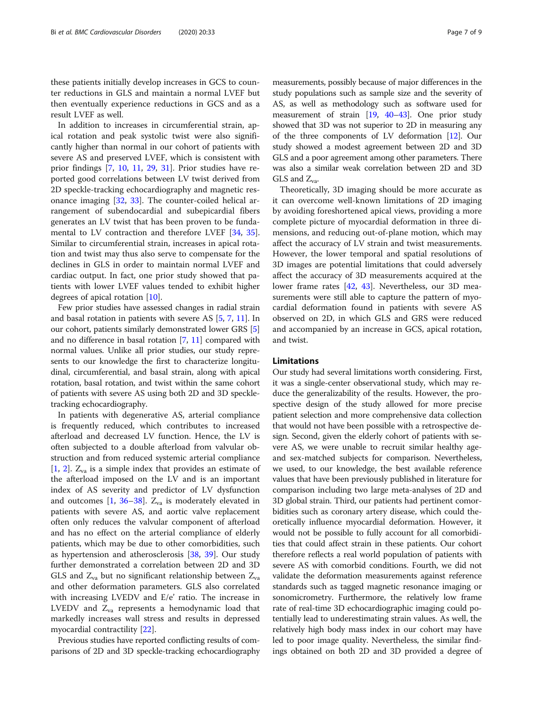these patients initially develop increases in GCS to counter reductions in GLS and maintain a normal LVEF but then eventually experience reductions in GCS and as a result LVEF as well.

In addition to increases in circumferential strain, apical rotation and peak systolic twist were also significantly higher than normal in our cohort of patients with severe AS and preserved LVEF, which is consistent with prior findings [[7,](#page-7-0) [10,](#page-7-0) [11,](#page-7-0) [29,](#page-8-0) [31\]](#page-8-0). Prior studies have reported good correlations between LV twist derived from 2D speckle-tracking echocardiography and magnetic resonance imaging [[32](#page-8-0), [33\]](#page-8-0). The counter-coiled helical arrangement of subendocardial and subepicardial fibers generates an LV twist that has been proven to be fundamental to LV contraction and therefore LVEF [\[34](#page-8-0), [35](#page-8-0)]. Similar to circumferential strain, increases in apical rotation and twist may thus also serve to compensate for the declines in GLS in order to maintain normal LVEF and cardiac output. In fact, one prior study showed that patients with lower LVEF values tended to exhibit higher degrees of apical rotation [\[10](#page-7-0)].

Few prior studies have assessed changes in radial strain and basal rotation in patients with severe AS [\[5,](#page-7-0) [7,](#page-7-0) [11\]](#page-7-0). In our cohort, patients similarly demonstrated lower GRS [[5](#page-7-0)] and no difference in basal rotation [[7](#page-7-0), [11](#page-7-0)] compared with normal values. Unlike all prior studies, our study represents to our knowledge the first to characterize longitudinal, circumferential, and basal strain, along with apical rotation, basal rotation, and twist within the same cohort of patients with severe AS using both 2D and 3D speckletracking echocardiography.

In patients with degenerative AS, arterial compliance is frequently reduced, which contributes to increased afterload and decreased LV function. Hence, the LV is often subjected to a double afterload from valvular obstruction and from reduced systemic arterial compliance [[1,](#page-7-0) [2](#page-7-0)].  $Z_{va}$  is a simple index that provides an estimate of the afterload imposed on the LV and is an important index of AS severity and predictor of LV dysfunction and outcomes [[1](#page-7-0), [36](#page-8-0)–[38](#page-8-0)].  $Z_{va}$  is moderately elevated in patients with severe AS, and aortic valve replacement often only reduces the valvular component of afterload and has no effect on the arterial compliance of elderly patients, which may be due to other comorbidities, such as hypertension and atherosclerosis [[38](#page-8-0), [39](#page-8-0)]. Our study further demonstrated a correlation between 2D and 3D GLS and  $Z_{va}$  but no significant relationship between  $Z_{va}$ and other deformation parameters. GLS also correlated with increasing LVEDV and E/e' ratio. The increase in LVEDV and  $Z_{va}$  represents a hemodynamic load that markedly increases wall stress and results in depressed myocardial contractility [[22](#page-8-0)].

Previous studies have reported conflicting results of comparisons of 2D and 3D speckle-tracking echocardiography measurements, possibly because of major differences in the study populations such as sample size and the severity of AS, as well as methodology such as software used for measurement of strain [\[19](#page-7-0), [40](#page-8-0)–[43](#page-8-0)]. One prior study showed that 3D was not superior to 2D in measuring any of the three components of LV deformation [\[12\]](#page-7-0). Our study showed a modest agreement between 2D and 3D GLS and a poor agreement among other parameters. There was also a similar weak correlation between 2D and 3D  $GLS$  and  $Z_{wa}$ .

Theoretically, 3D imaging should be more accurate as it can overcome well-known limitations of 2D imaging by avoiding foreshortened apical views, providing a more complete picture of myocardial deformation in three dimensions, and reducing out-of-plane motion, which may affect the accuracy of LV strain and twist measurements. However, the lower temporal and spatial resolutions of 3D images are potential limitations that could adversely affect the accuracy of 3D measurements acquired at the lower frame rates [\[42](#page-8-0), [43\]](#page-8-0). Nevertheless, our 3D measurements were still able to capture the pattern of myocardial deformation found in patients with severe AS observed on 2D, in which GLS and GRS were reduced and accompanied by an increase in GCS, apical rotation, and twist.

#### Limitations

Our study had several limitations worth considering. First, it was a single-center observational study, which may reduce the generalizability of the results. However, the prospective design of the study allowed for more precise patient selection and more comprehensive data collection that would not have been possible with a retrospective design. Second, given the elderly cohort of patients with severe AS, we were unable to recruit similar healthy ageand sex-matched subjects for comparison. Nevertheless, we used, to our knowledge, the best available reference values that have been previously published in literature for comparison including two large meta-analyses of 2D and 3D global strain. Third, our patients had pertinent comorbidities such as coronary artery disease, which could theoretically influence myocardial deformation. However, it would not be possible to fully account for all comorbidities that could affect strain in these patients. Our cohort therefore reflects a real world population of patients with severe AS with comorbid conditions. Fourth, we did not validate the deformation measurements against reference standards such as tagged magnetic resonance imaging or sonomicrometry. Furthermore, the relatively low frame rate of real-time 3D echocardiographic imaging could potentially lead to underestimating strain values. As well, the relatively high body mass index in our cohort may have led to poor image quality. Nevertheless, the similar findings obtained on both 2D and 3D provided a degree of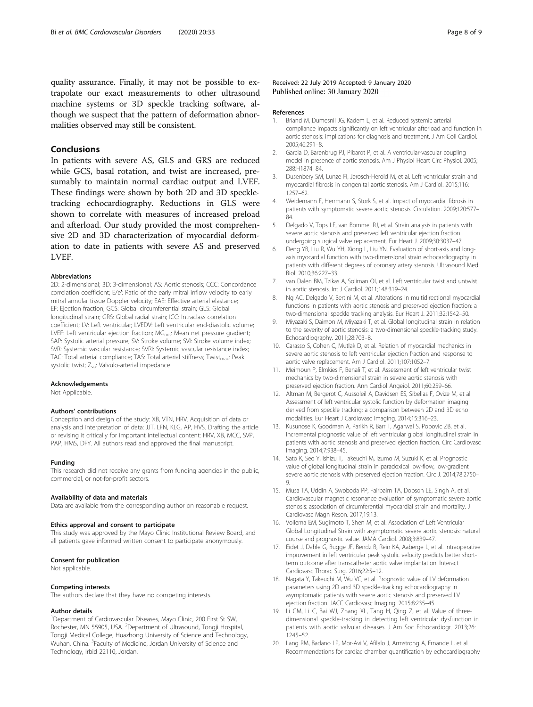<span id="page-7-0"></span>quality assurance. Finally, it may not be possible to extrapolate our exact measurements to other ultrasound machine systems or 3D speckle tracking software, although we suspect that the pattern of deformation abnormalities observed may still be consistent.

#### Conclusions

In patients with severe AS, GLS and GRS are reduced while GCS, basal rotation, and twist are increased, presumably to maintain normal cardiac output and LVEF. These findings were shown by both 2D and 3D speckletracking echocardiography. Reductions in GLS were shown to correlate with measures of increased preload and afterload. Our study provided the most comprehensive 2D and 3D characterization of myocardial deformation to date in patients with severe AS and preserved LVEF.

#### Abbreviations

2D: 2-dimensional; 3D: 3-dimensional; AS: Aortic stenosis; CCC: Concordance correlation coefficient; E/e′: Ratio of the early mitral inflow velocity to early mitral annular tissue Doppler velocity; EAE: Effective arterial elastance; EF: Ejection fraction; GCS: Global circumferential strain; GLS: Global longitudinal strain; GRS: Global radial strain; ICC: Intraclass correlation coefficient; LV: Left ventricular; LVEDV: Left ventricular end-diastolic volume; LVEF: Left ventricular ejection fraction; MG<sub>net</sub>: Mean net pressure gradient; SAP: Systolic arterial pressure; SV: Stroke volume; SVI: Stroke volume index; SVR: Systemic vascular resistance; SVRI: Systemic vascular resistance index; TAC: Total arterial compliance; TAS: Total arterial stiffness; Twist<sub>max</sub>: Peak systolic twist; Z<sub>va</sub>: Valvulo-arterial impedance

#### Acknowledgements

Not Applicable.

#### Authors' contributions

Conception and design of the study: XB, VTN, HRV. Acquisition of data or analysis and interpretation of data: JJT, LFN, KLG, AP, HVS. Drafting the article or revising it critically for important intellectual content: HRV, XB, MCC, SVP, PAP, HMS, DFY. All authors read and approved the final manuscript.

#### Funding

This research did not receive any grants from funding agencies in the public, commercial, or not-for-profit sectors.

#### Availability of data and materials

Data are available from the corresponding author on reasonable request.

#### Ethics approval and consent to participate

This study was approved by the Mayo Clinic Institutional Review Board, and all patients gave informed written consent to participate anonymously.

#### Consent for publication

Not applicable.

#### Competing interests

The authors declare that they have no competing interests.

#### Author details

<sup>1</sup>Department of Cardiovascular Diseases, Mayo Clinic, 200 First St SW, Rochester, MN 55905, USA. <sup>2</sup>Department of Ultrasound, Tongji Hospital, Tongji Medical College, Huazhong University of Science and Technology, Wuhan, China. <sup>3</sup>Faculty of Medicine, Jordan University of Science and Technology, Irbid 22110, Jordan.

#### Received: 22 July 2019 Accepted: 9 January 2020 Published online: 30 January 2020

#### References

- 1. Briand M, Dumesnil JG, Kadem L, et al. Reduced systemic arterial compliance impacts significantly on left ventricular afterload and function in aortic stenosis: implications for diagnosis and treatment. J Am Coll Cardiol. 2005;46:291–8.
- 2. Garcia D, Barenbrug PJ, Pibarot P, et al. A ventricular-vascular coupling model in presence of aortic stenosis. Am J Physiol Heart Circ Physiol. 2005; 288:H1874–84.
- Dusenbery SM, Lunze FI, Jerosch-Herold M, et al. Left ventricular strain and myocardial fibrosis in congenital aortic stenosis. Am J Cardiol. 2015;116: 1257–62.
- 4. Weidemann F, Herrmann S, Stork S, et al. Impact of myocardial fibrosis in patients with symptomatic severe aortic stenosis. Circulation. 2009;120:577– 84.
- 5. Delgado V, Tops LF, van Bommel RJ, et al. Strain analysis in patients with severe aortic stenosis and preserved left ventricular ejection fraction undergoing surgical valve replacement. Eur Heart J. 2009;30:3037–47.
- 6. Deng YB, Liu R, Wu YH, Xiong L, Liu YN. Evaluation of short-axis and longaxis myocardial function with two-dimensional strain echocardiography in patients with different degrees of coronary artery stenosis. Ultrasound Med Biol. 2010;36:227–33.
- 7. van Dalen BM, Tzikas A, Soliman OI, et al. Left ventricular twist and untwist in aortic stenosis. Int J Cardiol. 2011;148:319–24.
- 8. Ng AC, Delgado V, Bertini M, et al. Alterations in multidirectional myocardial functions in patients with aortic stenosis and preserved ejection fraction: a two-dimensional speckle tracking analysis. Eur Heart J. 2011;32:1542–50.
- 9. Miyazaki S, Daimon M, Miyazaki T, et al. Global longitudinal strain in relation to the severity of aortic stenosis: a two-dimensional speckle-tracking study. Echocardiography. 2011;28:703–8.
- 10. Carasso S, Cohen C, Mutlak D, et al. Relation of myocardial mechanics in severe aortic stenosis to left ventricular ejection fraction and response to aortic valve replacement. Am J Cardiol. 2011;107:1052–7.
- 11. Meimoun P, Elmkies F, Benali T, et al. Assessment of left ventricular twist mechanics by two-dimensional strain in severe aortic stenosis with preserved ejection fraction. Ann Cardiol Angeiol. 2011;60:259–66.
- 12. Altman M, Bergerot C, Aussoleil A, Davidsen ES, Sibellas F, Ovize M, et al. Assessment of left ventricular systolic function by deformation imaging derived from speckle tracking: a comparison between 2D and 3D echo modalities. Eur Heart J Cardiovasc Imaging. 2014;15:316–23.
- 13. Kusunose K, Goodman A, Parikh R, Barr T, Agarwal S, Popovic ZB, et al. Incremental prognostic value of left ventricular global longitudinal strain in patients with aortic stenosis and preserved ejection fraction. Circ Cardiovasc Imaging. 2014;7:938–45.
- 14. Sato K, Seo Y, Ishizu T, Takeuchi M, Izumo M, Suzuki K, et al. Prognostic value of global longitudinal strain in paradoxical low-flow, low-gradient severe aortic stenosis with preserved ejection fraction. Circ J. 2014;78:2750– 9.
- 15. Musa TA, Uddin A, Swoboda PP, Fairbairn TA, Dobson LE, Singh A, et al. Cardiovascular magnetic resonance evaluation of symptomatic severe aortic stenosis: association of circumferential myocardial strain and mortality. J Cardiovasc Magn Reson. 2017;19:13.
- 16. Vollema EM, Sugimoto T, Shen M, et al. Association of Left Ventricular Global Longitudinal Strain with asymptomatic severe aortic stenosis: natural course and prognostic value. JAMA Cardiol. 2008;3:839–47.
- 17. Eidet J, Dahle G, Bugge JF, Bendz B, Rein KA, Aaberge L, et al. Intraoperative improvement in left ventricular peak systolic velocity predicts better shortterm outcome after transcatheter aortic valve implantation. Interact Cardiovasc Thorac Surg. 2016;22:5–12.
- 18. Nagata Y, Takeuchi M, Wu VC, et al. Prognostic value of LV deformation parameters using 2D and 3D speckle-tracking echocardiography in asymptomatic patients with severe aortic stenosis and preserved LV ejection fraction. JACC Cardiovasc Imaging. 2015;8:235–45.
- 19. Li CM, Li C, Bai WJ, Zhang XL, Tang H, Qing Z, et al. Value of threedimensional speckle-tracking in detecting left ventricular dysfunction in patients with aortic valvular diseases. J Am Soc Echocardiogr. 2013;26: 1245–52.
- 20. Lang RM, Badano LP, Mor-Avi V, Afilalo J, Armstrong A, Ernande L, et al. Recommendations for cardiac chamber quantification by echocardiography